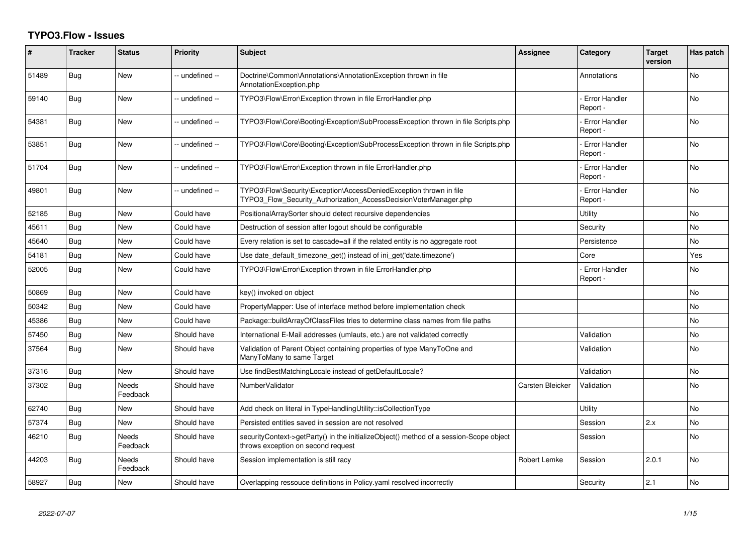## **TYPO3.Flow - Issues**

| #     | <b>Tracker</b> | <b>Status</b>            | <b>Priority</b> | <b>Subject</b>                                                                                                                         | <b>Assignee</b>  | Category                         | <b>Target</b><br>version | Has patch |
|-------|----------------|--------------------------|-----------------|----------------------------------------------------------------------------------------------------------------------------------------|------------------|----------------------------------|--------------------------|-----------|
| 51489 | Bug            | <b>New</b>               | -- undefined -- | Doctrine\Common\Annotations\AnnotationException thrown in file<br>AnnotationException.php                                              |                  | Annotations                      |                          | <b>No</b> |
| 59140 | Bug            | New                      | -- undefined -- | TYPO3\Flow\Error\Exception thrown in file ErrorHandler.php                                                                             |                  | <b>Error Handler</b><br>Report - |                          | No        |
| 54381 | Bug            | New                      | -- undefined -- | TYPO3\Flow\Core\Booting\Exception\SubProcessException thrown in file Scripts.php                                                       |                  | <b>Error Handler</b><br>Report - |                          | No        |
| 53851 | Bug            | New                      | -- undefined -- | TYPO3\Flow\Core\Booting\Exception\SubProcessException thrown in file Scripts.php                                                       |                  | <b>Error Handler</b><br>Report - |                          | <b>No</b> |
| 51704 | Bug            | New                      | -- undefined -- | TYPO3\Flow\Error\Exception thrown in file ErrorHandler.php                                                                             |                  | <b>Error Handler</b><br>Report - |                          | No        |
| 49801 | Bug            | <b>New</b>               | -- undefined -- | TYPO3\Flow\Security\Exception\AccessDeniedException thrown in file<br>TYPO3_Flow_Security_Authorization_AccessDecisionVoterManager.php |                  | <b>Error Handler</b><br>Report - |                          | <b>No</b> |
| 52185 | Bug            | <b>New</b>               | Could have      | PositionalArraySorter should detect recursive dependencies                                                                             |                  | Utility                          |                          | <b>No</b> |
| 45611 | Bug            | <b>New</b>               | Could have      | Destruction of session after logout should be configurable                                                                             |                  | Security                         |                          | <b>No</b> |
| 45640 | Bug            | <b>New</b>               | Could have      | Every relation is set to cascade=all if the related entity is no aggregate root                                                        |                  | Persistence                      |                          | <b>No</b> |
| 54181 | Bug            | <b>New</b>               | Could have      | Use date default timezone get() instead of ini get('date.timezone')                                                                    |                  | Core                             |                          | Yes       |
| 52005 | Bug            | New                      | Could have      | TYPO3\Flow\Error\Exception thrown in file ErrorHandler.php                                                                             |                  | <b>Error Handler</b><br>Report - |                          | No        |
| 50869 | Bug            | <b>New</b>               | Could have      | key() invoked on object                                                                                                                |                  |                                  |                          | <b>No</b> |
| 50342 | Bug            | New                      | Could have      | PropertyMapper: Use of interface method before implementation check                                                                    |                  |                                  |                          | No        |
| 45386 | Bug            | <b>New</b>               | Could have      | Package::buildArrayOfClassFiles tries to determine class names from file paths                                                         |                  |                                  |                          | No        |
| 57450 | <b>Bug</b>     | New                      | Should have     | International E-Mail addresses (umlauts, etc.) are not validated correctly                                                             |                  | Validation                       |                          | No        |
| 37564 | Bug            | New                      | Should have     | Validation of Parent Object containing properties of type ManyToOne and<br>ManyToMany to same Target                                   |                  | Validation                       |                          | <b>No</b> |
| 37316 | Bug            | <b>New</b>               | Should have     | Use findBestMatchingLocale instead of getDefaultLocale?                                                                                |                  | Validation                       |                          | <b>No</b> |
| 37302 | Bug            | <b>Needs</b><br>Feedback | Should have     | NumberValidator                                                                                                                        | Carsten Bleicker | Validation                       |                          | <b>No</b> |
| 62740 | Bug            | New                      | Should have     | Add check on literal in TypeHandlingUtility::isCollectionType                                                                          |                  | Utility                          |                          | <b>No</b> |
| 57374 | Bug            | <b>New</b>               | Should have     | Persisted entities saved in session are not resolved                                                                                   |                  | Session                          | 2.x                      | <b>No</b> |
| 46210 | Bug            | Needs<br>Feedback        | Should have     | securityContext->getParty() in the initializeObject() method of a session-Scope object<br>throws exception on second request           |                  | Session                          |                          | No        |
| 44203 | <b>Bug</b>     | <b>Needs</b><br>Feedback | Should have     | Session implementation is still racy                                                                                                   | Robert Lemke     | Session                          | 2.0.1                    | <b>No</b> |
| 58927 | Bug            | New                      | Should have     | Overlapping ressouce definitions in Policy.yaml resolved incorrectly                                                                   |                  | Security                         | 2.1                      | <b>No</b> |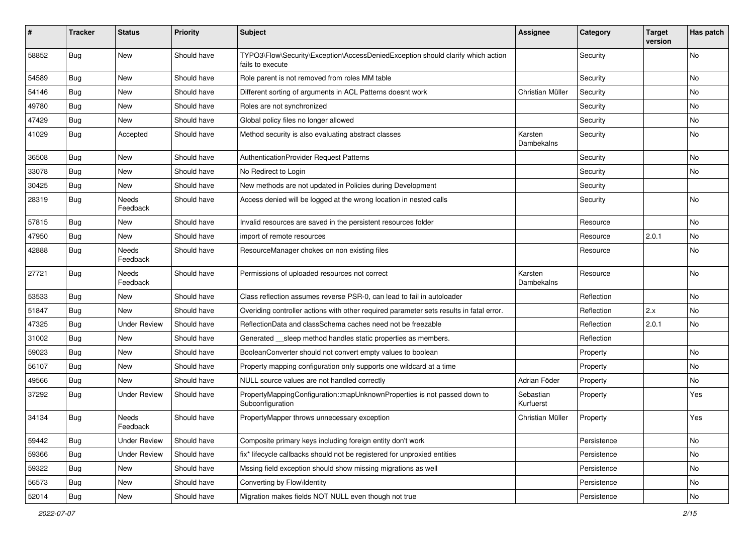| #     | <b>Tracker</b> | <b>Status</b>       | <b>Priority</b> | <b>Subject</b>                                                                                      | <b>Assignee</b>        | Category    | <b>Target</b><br>version | Has patch |
|-------|----------------|---------------------|-----------------|-----------------------------------------------------------------------------------------------------|------------------------|-------------|--------------------------|-----------|
| 58852 | <b>Bug</b>     | New                 | Should have     | TYPO3\Flow\Security\Exception\AccessDeniedException should clarify which action<br>fails to execute |                        | Security    |                          | No        |
| 54589 | Bug            | <b>New</b>          | Should have     | Role parent is not removed from roles MM table                                                      |                        | Security    |                          | No        |
| 54146 | Bug            | <b>New</b>          | Should have     | Different sorting of arguments in ACL Patterns doesnt work                                          | Christian Müller       | Security    |                          | No        |
| 49780 | <b>Bug</b>     | New                 | Should have     | Roles are not synchronized                                                                          |                        | Security    |                          | No        |
| 47429 | <b>Bug</b>     | New                 | Should have     | Global policy files no longer allowed                                                               |                        | Security    |                          | No.       |
| 41029 | <b>Bug</b>     | Accepted            | Should have     | Method security is also evaluating abstract classes                                                 | Karsten<br>Dambekalns  | Security    |                          | No        |
| 36508 | <b>Bug</b>     | <b>New</b>          | Should have     | <b>AuthenticationProvider Request Patterns</b>                                                      |                        | Security    |                          | No.       |
| 33078 | <b>Bug</b>     | New                 | Should have     | No Redirect to Login                                                                                |                        | Security    |                          | No.       |
| 30425 | Bug            | New                 | Should have     | New methods are not updated in Policies during Development                                          |                        | Security    |                          |           |
| 28319 | <b>Bug</b>     | Needs<br>Feedback   | Should have     | Access denied will be logged at the wrong location in nested calls                                  |                        | Security    |                          | No        |
| 57815 | Bug            | New                 | Should have     | Invalid resources are saved in the persistent resources folder                                      |                        | Resource    |                          | No.       |
| 47950 | <b>Bug</b>     | New                 | Should have     | import of remote resources                                                                          |                        | Resource    | 2.0.1                    | No        |
| 42888 | Bug            | Needs<br>Feedback   | Should have     | ResourceManager chokes on non existing files                                                        |                        | Resource    |                          | No        |
| 27721 | Bug            | Needs<br>Feedback   | Should have     | Permissions of uploaded resources not correct                                                       | Karsten<br>Dambekalns  | Resource    |                          | No        |
| 53533 | Bug            | New                 | Should have     | Class reflection assumes reverse PSR-0, can lead to fail in autoloader                              |                        | Reflection  |                          | No        |
| 51847 | Bug            | <b>New</b>          | Should have     | Overiding controller actions with other required parameter sets results in fatal error.             |                        | Reflection  | 2.x                      | No.       |
| 47325 | Bug            | <b>Under Review</b> | Should have     | ReflectionData and classSchema caches need not be freezable                                         |                        | Reflection  | 2.0.1                    | No        |
| 31002 | <b>Bug</b>     | New                 | Should have     | Generated sleep method handles static properties as members.                                        |                        | Reflection  |                          |           |
| 59023 | Bug            | New                 | Should have     | BooleanConverter should not convert empty values to boolean                                         |                        | Property    |                          | <b>No</b> |
| 56107 | Bug            | New                 | Should have     | Property mapping configuration only supports one wildcard at a time                                 |                        | Property    |                          | No        |
| 49566 | Bug            | New                 | Should have     | NULL source values are not handled correctly                                                        | Adrian Föder           | Property    |                          | No        |
| 37292 | Bug            | <b>Under Review</b> | Should have     | PropertyMappingConfiguration::mapUnknownProperties is not passed down to<br>Subconfiguration        | Sebastian<br>Kurfuerst | Property    |                          | Yes       |
| 34134 | <b>Bug</b>     | Needs<br>Feedback   | Should have     | PropertyMapper throws unnecessary exception                                                         | Christian Müller       | Property    |                          | Yes       |
| 59442 | Bug            | <b>Under Review</b> | Should have     | Composite primary keys including foreign entity don't work                                          |                        | Persistence |                          | No        |
| 59366 | <b>Bug</b>     | <b>Under Review</b> | Should have     | fix* lifecycle callbacks should not be registered for unproxied entities                            |                        | Persistence |                          | No        |
| 59322 | Bug            | New                 | Should have     | Mssing field exception should show missing migrations as well                                       |                        | Persistence |                          | No        |
| 56573 | <b>Bug</b>     | New                 | Should have     | Converting by Flow\Identity                                                                         |                        | Persistence |                          | No        |
| 52014 | Bug            | New                 | Should have     | Migration makes fields NOT NULL even though not true                                                |                        | Persistence |                          | No        |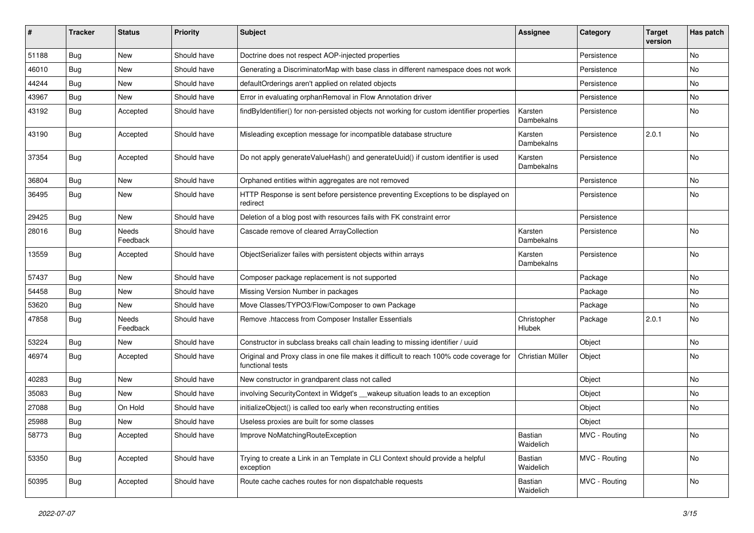| #     | <b>Tracker</b> | <b>Status</b>            | <b>Priority</b> | Subject                                                                                                     | <b>Assignee</b>       | Category      | <b>Target</b><br>version | Has patch |
|-------|----------------|--------------------------|-----------------|-------------------------------------------------------------------------------------------------------------|-----------------------|---------------|--------------------------|-----------|
| 51188 | Bug            | New                      | Should have     | Doctrine does not respect AOP-injected properties                                                           |                       | Persistence   |                          | No        |
| 46010 | <b>Bug</b>     | New                      | Should have     | Generating a DiscriminatorMap with base class in different namespace does not work                          |                       | Persistence   |                          | No        |
| 44244 | <b>Bug</b>     | New                      | Should have     | defaultOrderings aren't applied on related objects                                                          |                       | Persistence   |                          | No        |
| 43967 | <b>Bug</b>     | New                      | Should have     | Error in evaluating orphanRemoval in Flow Annotation driver                                                 |                       | Persistence   |                          | No        |
| 43192 | <b>Bug</b>     | Accepted                 | Should have     | findByIdentifier() for non-persisted objects not working for custom identifier properties                   | Karsten<br>Dambekalns | Persistence   |                          | No        |
| 43190 | <b>Bug</b>     | Accepted                 | Should have     | Misleading exception message for incompatible database structure                                            | Karsten<br>Dambekalns | Persistence   | 2.0.1                    | No        |
| 37354 | Bug            | Accepted                 | Should have     | Do not apply generateValueHash() and generateUuid() if custom identifier is used                            | Karsten<br>Dambekalns | Persistence   |                          | No        |
| 36804 | <b>Bug</b>     | <b>New</b>               | Should have     | Orphaned entities within aggregates are not removed                                                         |                       | Persistence   |                          | No        |
| 36495 | <b>Bug</b>     | New                      | Should have     | HTTP Response is sent before persistence preventing Exceptions to be displayed on<br>redirect               |                       | Persistence   |                          | No        |
| 29425 | <b>Bug</b>     | New                      | Should have     | Deletion of a blog post with resources fails with FK constraint error                                       |                       | Persistence   |                          |           |
| 28016 | <b>Bug</b>     | <b>Needs</b><br>Feedback | Should have     | Cascade remove of cleared ArrayCollection                                                                   | Karsten<br>Dambekalns | Persistence   |                          | No        |
| 13559 | Bug            | Accepted                 | Should have     | ObjectSerializer failes with persistent objects within arrays                                               | Karsten<br>Dambekalns | Persistence   |                          | <b>No</b> |
| 57437 | <b>Bug</b>     | <b>New</b>               | Should have     | Composer package replacement is not supported                                                               |                       | Package       |                          | <b>No</b> |
| 54458 | <b>Bug</b>     | New                      | Should have     | Missing Version Number in packages                                                                          |                       | Package       |                          | No        |
| 53620 | <b>Bug</b>     | New                      | Should have     | Move Classes/TYPO3/Flow/Composer to own Package                                                             |                       | Package       |                          | No        |
| 47858 | Bug            | Needs<br>Feedback        | Should have     | Remove .htaccess from Composer Installer Essentials                                                         | Christopher<br>Hlubek | Package       | 2.0.1                    | No        |
| 53224 | <b>Bug</b>     | New                      | Should have     | Constructor in subclass breaks call chain leading to missing identifier / uuid                              |                       | Object        |                          | No        |
| 46974 | <b>Bug</b>     | Accepted                 | Should have     | Original and Proxy class in one file makes it difficult to reach 100% code coverage for<br>functional tests | Christian Müller      | Object        |                          | No        |
| 40283 | <b>Bug</b>     | New                      | Should have     | New constructor in grandparent class not called                                                             |                       | Object        |                          | No        |
| 35083 | <b>Bug</b>     | New                      | Should have     | involving SecurityContext in Widget's __wakeup situation leads to an exception                              |                       | Object        |                          | No        |
| 27088 | <b>Bug</b>     | On Hold                  | Should have     | initializeObject() is called too early when reconstructing entities                                         |                       | Object        |                          | No        |
| 25988 | Bug            | New                      | Should have     | Useless proxies are built for some classes                                                                  |                       | Object        |                          |           |
| 58773 | Bug            | Accepted                 | Should have     | Improve NoMatchingRouteException                                                                            | Bastian<br>Waidelich  | MVC - Routing |                          | No        |
| 53350 | Bug            | Accepted                 | Should have     | Trying to create a Link in an Template in CLI Context should provide a helpful<br>exception                 | Bastian<br>Waidelich  | MVC - Routing |                          | No        |
| 50395 | Bug            | Accepted                 | Should have     | Route cache caches routes for non dispatchable requests                                                     | Bastian<br>Waidelich  | MVC - Routing |                          | No        |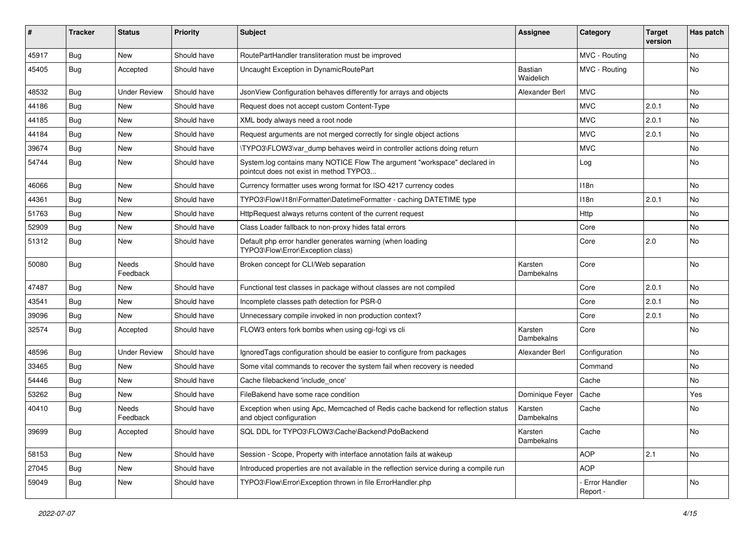| ∦     | <b>Tracker</b> | <b>Status</b>            | <b>Priority</b> | <b>Subject</b>                                                                                                       | <b>Assignee</b>       | Category                  | <b>Target</b><br>version | Has patch |
|-------|----------------|--------------------------|-----------------|----------------------------------------------------------------------------------------------------------------------|-----------------------|---------------------------|--------------------------|-----------|
| 45917 | Bug            | New                      | Should have     | RoutePartHandler transliteration must be improved                                                                    |                       | MVC - Routing             |                          | <b>No</b> |
| 45405 | <b>Bug</b>     | Accepted                 | Should have     | Uncaught Exception in DynamicRoutePart                                                                               | Bastian<br>Waidelich  | MVC - Routing             |                          | <b>No</b> |
| 48532 | Bug            | <b>Under Review</b>      | Should have     | JsonView Configuration behaves differently for arrays and objects                                                    | Alexander Berl        | MVC                       |                          | <b>No</b> |
| 44186 | <b>Bug</b>     | New                      | Should have     | Request does not accept custom Content-Type                                                                          |                       | <b>MVC</b>                | 2.0.1                    | No        |
| 44185 | Bug            | <b>New</b>               | Should have     | XML body always need a root node                                                                                     |                       | <b>MVC</b>                | 2.0.1                    | <b>No</b> |
| 44184 | <b>Bug</b>     | New                      | Should have     | Request arguments are not merged correctly for single object actions                                                 |                       | <b>MVC</b>                | 2.0.1                    | No        |
| 39674 | <b>Bug</b>     | <b>New</b>               | Should have     | \TYPO3\FLOW3\var_dump behaves weird in controller actions doing return                                               |                       | <b>MVC</b>                |                          | <b>No</b> |
| 54744 | Bug            | New                      | Should have     | System.log contains many NOTICE Flow The argument "workspace" declared in<br>pointcut does not exist in method TYPO3 |                       | Log                       |                          | No        |
| 46066 | Bug            | New                      | Should have     | Currency formatter uses wrong format for ISO 4217 currency codes                                                     |                       | 118 <sub>n</sub>          |                          | No        |
| 44361 | <b>Bug</b>     | <b>New</b>               | Should have     | TYPO3\Flow\I18n\Formatter\DatetimeFormatter - caching DATETIME type                                                  |                       | 118 <sub>n</sub>          | 2.0.1                    | No        |
| 51763 | Bug            | New                      | Should have     | HttpRequest always returns content of the current request                                                            |                       | Http                      |                          | No        |
| 52909 | Bug            | <b>New</b>               | Should have     | Class Loader fallback to non-proxy hides fatal errors                                                                |                       | Core                      |                          | <b>No</b> |
| 51312 | <b>Bug</b>     | <b>New</b>               | Should have     | Default php error handler generates warning (when loading<br>TYPO3\Flow\Error\Exception class)                       |                       | Core                      | 2.0                      | <b>No</b> |
| 50080 | Bug            | Needs<br>Feedback        | Should have     | Broken concept for CLI/Web separation                                                                                | Karsten<br>Dambekalns | Core                      |                          | No        |
| 47487 | <b>Bug</b>     | New                      | Should have     | Functional test classes in package without classes are not compiled                                                  |                       | Core                      | 2.0.1                    | <b>No</b> |
| 43541 | Bug            | <b>New</b>               | Should have     | Incomplete classes path detection for PSR-0                                                                          |                       | Core                      | 2.0.1                    | <b>No</b> |
| 39096 | Bug            | New                      | Should have     | Unnecessary compile invoked in non production context?                                                               |                       | Core                      | 2.0.1                    | No        |
| 32574 | Bug            | Accepted                 | Should have     | FLOW3 enters fork bombs when using cgi-fcgi vs cli                                                                   | Karsten<br>Dambekalns | Core                      |                          | <b>No</b> |
| 48596 | Bug            | <b>Under Review</b>      | Should have     | Ignored Tags configuration should be easier to configure from packages                                               | Alexander Berl        | Configuration             |                          | <b>No</b> |
| 33465 | Bug            | <b>New</b>               | Should have     | Some vital commands to recover the system fail when recovery is needed                                               |                       | Command                   |                          | No        |
| 54446 | Bug            | <b>New</b>               | Should have     | Cache filebackend 'include once'                                                                                     |                       | Cache                     |                          | <b>No</b> |
| 53262 | <b>Bug</b>     | New                      | Should have     | FileBakend have some race condition                                                                                  | Dominique Feyer       | Cache                     |                          | Yes       |
| 40410 | Bug            | <b>Needs</b><br>Feedback | Should have     | Exception when using Apc, Memcached of Redis cache backend for reflection status<br>and object configuration         | Karsten<br>Dambekalns | Cache                     |                          | No        |
| 39699 | <b>Bug</b>     | Accepted                 | Should have     | SQL DDL for TYPO3\FLOW3\Cache\Backend\PdoBackend                                                                     | Karsten<br>Dambekalns | Cache                     |                          | No        |
| 58153 | <b>Bug</b>     | New                      | Should have     | Session - Scope, Property with interface annotation fails at wakeup                                                  |                       | <b>AOP</b>                | 2.1                      | No        |
| 27045 | Bug            | New                      | Should have     | Introduced properties are not available in the reflection service during a compile run                               |                       | <b>AOP</b>                |                          |           |
| 59049 | <b>Bug</b>     | New                      | Should have     | TYPO3\Flow\Error\Exception thrown in file ErrorHandler.php                                                           |                       | Error Handler<br>Report - |                          | No        |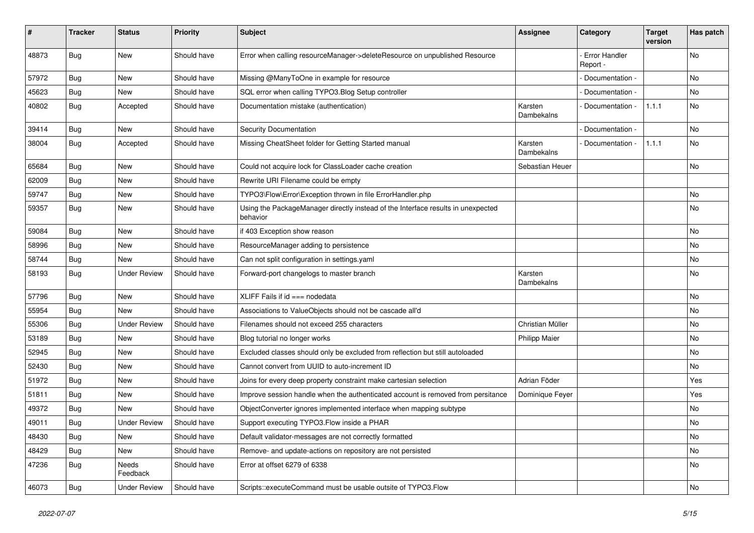| #     | <b>Tracker</b> | <b>Status</b>       | <b>Priority</b> | Subject                                                                                      | Assignee              | Category                         | <b>Target</b><br>version | Has patch |
|-------|----------------|---------------------|-----------------|----------------------------------------------------------------------------------------------|-----------------------|----------------------------------|--------------------------|-----------|
| 48873 | <b>Bug</b>     | New                 | Should have     | Error when calling resourceManager->deleteResource on unpublished Resource                   |                       | <b>Error Handler</b><br>Report - |                          | No        |
| 57972 | Bug            | New                 | Should have     | Missing @ManyToOne in example for resource                                                   |                       | Documentation -                  |                          | No        |
| 45623 | Bug            | <b>New</b>          | Should have     | SQL error when calling TYPO3.Blog Setup controller                                           |                       | Documentation -                  |                          | No        |
| 40802 | <b>Bug</b>     | Accepted            | Should have     | Documentation mistake (authentication)                                                       | Karsten<br>Dambekalns | Documentation -                  | 1.1.1                    | No        |
| 39414 | <b>Bug</b>     | <b>New</b>          | Should have     | Security Documentation                                                                       |                       | Documentation -                  |                          | No        |
| 38004 | <b>Bug</b>     | Accepted            | Should have     | Missing CheatSheet folder for Getting Started manual                                         | Karsten<br>Dambekalns | Documentation -                  | 1.1.1                    | No        |
| 65684 | <b>Bug</b>     | New                 | Should have     | Could not acquire lock for ClassLoader cache creation                                        | Sebastian Heuer       |                                  |                          | No        |
| 62009 | Bug            | New                 | Should have     | Rewrite URI Filename could be empty                                                          |                       |                                  |                          |           |
| 59747 | Bug            | <b>New</b>          | Should have     | TYPO3\Flow\Error\Exception thrown in file ErrorHandler.php                                   |                       |                                  |                          | No        |
| 59357 | Bug            | New                 | Should have     | Using the PackageManager directly instead of the Interface results in unexpected<br>behavior |                       |                                  |                          | No        |
| 59084 | <b>Bug</b>     | New                 | Should have     | if 403 Exception show reason                                                                 |                       |                                  |                          | No        |
| 58996 | Bug            | New                 | Should have     | ResourceManager adding to persistence                                                        |                       |                                  |                          | No        |
| 58744 | <b>Bug</b>     | New                 | Should have     | Can not split configuration in settings.yaml                                                 |                       |                                  |                          | No        |
| 58193 | <b>Bug</b>     | <b>Under Review</b> | Should have     | Forward-port changelogs to master branch                                                     | Karsten<br>Dambekalns |                                  |                          | No        |
| 57796 | Bug            | <b>New</b>          | Should have     | XLIFF Fails if $id ==$ nodedata                                                              |                       |                                  |                          | No        |
| 55954 | <b>Bug</b>     | New                 | Should have     | Associations to ValueObjects should not be cascade all'd                                     |                       |                                  |                          | No        |
| 55306 | Bug            | <b>Under Review</b> | Should have     | Filenames should not exceed 255 characters                                                   | Christian Müller      |                                  |                          | No.       |
| 53189 | <b>Bug</b>     | New                 | Should have     | Blog tutorial no longer works                                                                | Philipp Maier         |                                  |                          | No        |
| 52945 | <b>Bug</b>     | New                 | Should have     | Excluded classes should only be excluded from reflection but still autoloaded                |                       |                                  |                          | No        |
| 52430 | Bug            | New                 | Should have     | Cannot convert from UUID to auto-increment ID                                                |                       |                                  |                          | No        |
| 51972 | <b>Bug</b>     | New                 | Should have     | Joins for every deep property constraint make cartesian selection                            | Adrian Föder          |                                  |                          | Yes       |
| 51811 | <b>Bug</b>     | New                 | Should have     | Improve session handle when the authenticated account is removed from persitance             | Dominique Feyer       |                                  |                          | Yes       |
| 49372 | <b>Bug</b>     | New                 | Should have     | ObjectConverter ignores implemented interface when mapping subtype                           |                       |                                  |                          | No        |
| 49011 | <b>Bug</b>     | <b>Under Review</b> | Should have     | Support executing TYPO3. Flow inside a PHAR                                                  |                       |                                  |                          | No        |
| 48430 | <b>Bug</b>     | New                 | Should have     | Default validator-messages are not correctly formatted                                       |                       |                                  |                          | No        |
| 48429 | Bug            | New                 | Should have     | Remove- and update-actions on repository are not persisted                                   |                       |                                  |                          | No        |
| 47236 | <b>Bug</b>     | Needs<br>Feedback   | Should have     | Error at offset 6279 of 6338                                                                 |                       |                                  |                          | No        |
| 46073 | <b>Bug</b>     | <b>Under Review</b> | Should have     | Scripts::executeCommand must be usable outsite of TYPO3.Flow                                 |                       |                                  |                          | No        |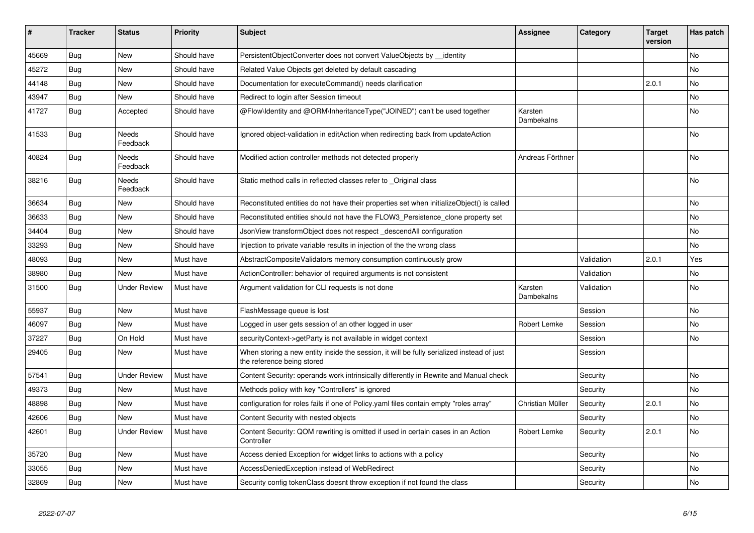| #     | <b>Tracker</b> | <b>Status</b>            | <b>Priority</b> | <b>Subject</b>                                                                                                          | <b>Assignee</b>       | Category   | Target<br>version | Has patch      |
|-------|----------------|--------------------------|-----------------|-------------------------------------------------------------------------------------------------------------------------|-----------------------|------------|-------------------|----------------|
| 45669 | <b>Bug</b>     | <b>New</b>               | Should have     | PersistentObjectConverter does not convert ValueObjects by __identity                                                   |                       |            |                   | N <sub>o</sub> |
| 45272 | <b>Bug</b>     | New                      | Should have     | Related Value Objects get deleted by default cascading                                                                  |                       |            |                   | No             |
| 44148 | Bug            | New                      | Should have     | Documentation for executeCommand() needs clarification                                                                  |                       |            | 2.0.1             | No             |
| 43947 | <b>Bug</b>     | <b>New</b>               | Should have     | Redirect to login after Session timeout                                                                                 |                       |            |                   | No             |
| 41727 | <b>Bug</b>     | Accepted                 | Should have     | @Flow\Identity and @ORM\InheritanceType("JOINED") can't be used together                                                | Karsten<br>Dambekalns |            |                   | <b>No</b>      |
| 41533 | <b>Bug</b>     | Needs<br>Feedback        | Should have     | Ignored object-validation in editAction when redirecting back from updateAction                                         |                       |            |                   | No             |
| 40824 | Bug            | Needs<br>Feedback        | Should have     | Modified action controller methods not detected properly                                                                | Andreas Förthner      |            |                   | <b>No</b>      |
| 38216 | <b>Bug</b>     | <b>Needs</b><br>Feedback | Should have     | Static method calls in reflected classes refer to _Original class                                                       |                       |            |                   | <b>No</b>      |
| 36634 | Bug            | New                      | Should have     | Reconstituted entities do not have their properties set when initializeObject() is called                               |                       |            |                   | No             |
| 36633 | Bug            | New                      | Should have     | Reconstituted entities should not have the FLOW3_Persistence_clone property set                                         |                       |            |                   | <b>No</b>      |
| 34404 | <b>Bug</b>     | New                      | Should have     | JsonView transformObject does not respect descendAll configuration                                                      |                       |            |                   | No             |
| 33293 | Bug            | New                      | Should have     | Injection to private variable results in injection of the the wrong class                                               |                       |            |                   | No             |
| 48093 | <b>Bug</b>     | <b>New</b>               | Must have       | AbstractCompositeValidators memory consumption continuously grow                                                        |                       | Validation | 2.0.1             | Yes            |
| 38980 | <b>Bug</b>     | <b>New</b>               | Must have       | ActionController: behavior of required arguments is not consistent                                                      |                       | Validation |                   | No             |
| 31500 | Bug            | <b>Under Review</b>      | Must have       | Argument validation for CLI requests is not done                                                                        | Karsten<br>Dambekalns | Validation |                   | No             |
| 55937 | <b>Bug</b>     | <b>New</b>               | Must have       | FlashMessage queue is lost                                                                                              |                       | Session    |                   | <b>No</b>      |
| 46097 | Bug            | New                      | Must have       | Logged in user gets session of an other logged in user                                                                  | Robert Lemke          | Session    |                   | No             |
| 37227 | <b>Bug</b>     | On Hold                  | Must have       | securityContext->getParty is not available in widget context                                                            |                       | Session    |                   | No             |
| 29405 | <b>Bug</b>     | New                      | Must have       | When storing a new entity inside the session, it will be fully serialized instead of just<br>the reference being stored |                       | Session    |                   |                |
| 57541 | Bug            | <b>Under Review</b>      | Must have       | Content Security: operands work intrinsically differently in Rewrite and Manual check                                   |                       | Security   |                   | No             |
| 49373 | <b>Bug</b>     | <b>New</b>               | Must have       | Methods policy with key "Controllers" is ignored                                                                        |                       | Security   |                   | No             |
| 48898 | Bug            | <b>New</b>               | Must have       | configuration for roles fails if one of Policy yaml files contain empty "roles array"                                   | Christian Müller      | Security   | 2.0.1             | <b>No</b>      |
| 42606 | <b>Bug</b>     | New                      | Must have       | Content Security with nested objects                                                                                    |                       | Security   |                   | No             |
| 42601 | Bug            | <b>Under Review</b>      | Must have       | Content Security: QOM rewriting is omitted if used in certain cases in an Action<br>Controller                          | Robert Lemke          | Security   | 2.0.1             | No             |
| 35720 | <b>Bug</b>     | <b>New</b>               | Must have       | Access denied Exception for widget links to actions with a policy                                                       |                       | Security   |                   | No             |
| 33055 | Bug            | New                      | Must have       | AccessDeniedException instead of WebRedirect                                                                            |                       | Security   |                   | No             |
| 32869 | <b>Bug</b>     | New                      | Must have       | Security config tokenClass doesnt throw exception if not found the class                                                |                       | Security   |                   | No             |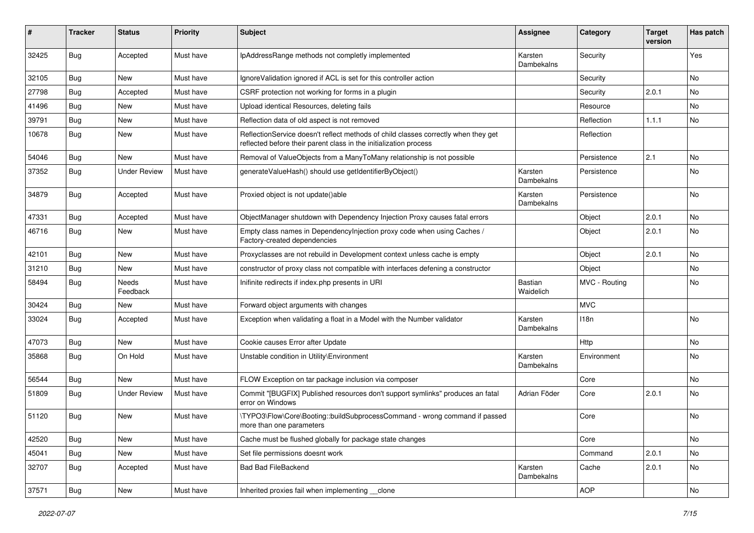| #     | <b>Tracker</b> | <b>Status</b>       | <b>Priority</b> | Subject                                                                                                                                                 | Assignee              | Category      | <b>Target</b><br>version | Has patch |
|-------|----------------|---------------------|-----------------|---------------------------------------------------------------------------------------------------------------------------------------------------------|-----------------------|---------------|--------------------------|-----------|
| 32425 | <b>Bug</b>     | Accepted            | Must have       | IpAddressRange methods not completly implemented                                                                                                        | Karsten<br>Dambekalns | Security      |                          | Yes       |
| 32105 | Bug            | New                 | Must have       | IgnoreValidation ignored if ACL is set for this controller action                                                                                       |                       | Security      |                          | No        |
| 27798 | Bug            | Accepted            | Must have       | CSRF protection not working for forms in a plugin                                                                                                       |                       | Security      | 2.0.1                    | No        |
| 41496 | Bug            | New                 | Must have       | Upload identical Resources, deleting fails                                                                                                              |                       | Resource      |                          | No        |
| 39791 | <b>Bug</b>     | New                 | Must have       | Reflection data of old aspect is not removed                                                                                                            |                       | Reflection    | 1.1.1                    | No        |
| 10678 | Bug            | New                 | Must have       | ReflectionService doesn't reflect methods of child classes correctly when they get<br>reflected before their parent class in the initialization process |                       | Reflection    |                          |           |
| 54046 | Bug            | New                 | Must have       | Removal of ValueObjects from a ManyToMany relationship is not possible                                                                                  |                       | Persistence   | 2.1                      | No        |
| 37352 | Bug            | <b>Under Review</b> | Must have       | generateValueHash() should use getIdentifierByObject()                                                                                                  | Karsten<br>Dambekalns | Persistence   |                          | No        |
| 34879 | Bug            | Accepted            | Must have       | Proxied object is not update()able                                                                                                                      | Karsten<br>Dambekalns | Persistence   |                          | No        |
| 47331 | Bug            | Accepted            | Must have       | ObjectManager shutdown with Dependency Injection Proxy causes fatal errors                                                                              |                       | Object        | 2.0.1                    | No        |
| 46716 | Bug            | New                 | Must have       | Empty class names in Dependencylnjection proxy code when using Caches /<br>Factory-created dependencies                                                 |                       | Object        | 2.0.1                    | No        |
| 42101 | <b>Bug</b>     | New                 | Must have       | Proxyclasses are not rebuild in Development context unless cache is empty                                                                               |                       | Object        | 2.0.1                    | <b>No</b> |
| 31210 | <b>Bug</b>     | New                 | Must have       | constructor of proxy class not compatible with interfaces defening a constructor                                                                        |                       | Object        |                          | No        |
| 58494 | Bug            | Needs<br>Feedback   | Must have       | Inifinite redirects if index.php presents in URI                                                                                                        | Bastian<br>Waidelich  | MVC - Routing |                          | No        |
| 30424 | Bug            | New                 | Must have       | Forward object arguments with changes                                                                                                                   |                       | <b>MVC</b>    |                          |           |
| 33024 | Bug            | Accepted            | Must have       | Exception when validating a float in a Model with the Number validator                                                                                  | Karsten<br>Dambekalns | 118n          |                          | No        |
| 47073 | Bug            | New                 | Must have       | Cookie causes Error after Update                                                                                                                        |                       | Http          |                          | No        |
| 35868 | <b>Bug</b>     | On Hold             | Must have       | Unstable condition in Utility\Environment                                                                                                               | Karsten<br>Dambekalns | Environment   |                          | No        |
| 56544 | <b>Bug</b>     | New                 | Must have       | FLOW Exception on tar package inclusion via composer                                                                                                    |                       | Core          |                          | No        |
| 51809 | <b>Bug</b>     | <b>Under Review</b> | Must have       | Commit "[BUGFIX] Published resources don't support symlinks" produces an fatal<br>error on Windows                                                      | Adrian Föder          | Core          | 2.0.1                    | No        |
| 51120 | <b>Bug</b>     | New                 | Must have       | \TYPO3\Flow\Core\Booting::buildSubprocessCommand - wrong command if passed<br>more than one parameters                                                  |                       | Core          |                          | No        |
| 42520 | <b>Bug</b>     | New                 | Must have       | Cache must be flushed globally for package state changes                                                                                                |                       | Core          |                          | No        |
| 45041 | Bug            | New                 | Must have       | Set file permissions doesnt work                                                                                                                        |                       | Command       | 2.0.1                    | No        |
| 32707 | <b>Bug</b>     | Accepted            | Must have       | <b>Bad Bad FileBackend</b>                                                                                                                              | Karsten<br>Dambekalns | Cache         | 2.0.1                    | No        |
| 37571 | <b>Bug</b>     | New                 | Must have       | Inherited proxies fail when implementing clone                                                                                                          |                       | <b>AOP</b>    |                          | No        |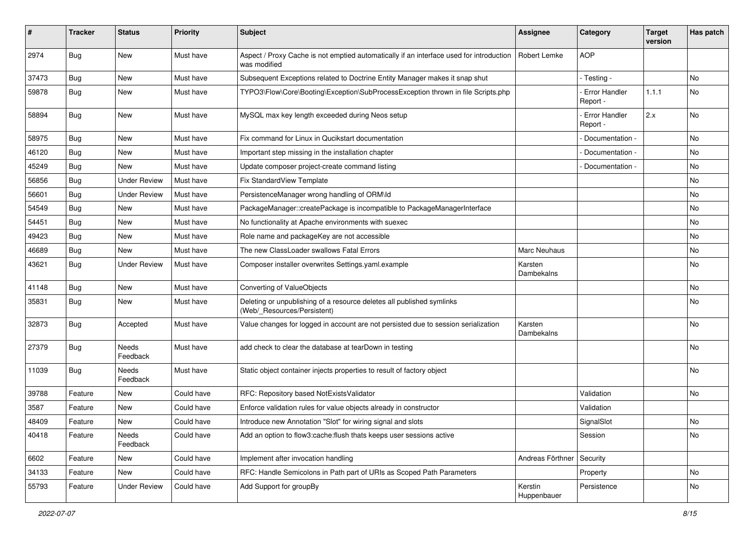| #     | <b>Tracker</b> | <b>Status</b>       | <b>Priority</b> | <b>Subject</b>                                                                                          | <b>Assignee</b>        | Category                         | <b>Target</b><br>version | Has patch |
|-------|----------------|---------------------|-----------------|---------------------------------------------------------------------------------------------------------|------------------------|----------------------------------|--------------------------|-----------|
| 2974  | <b>Bug</b>     | New                 | Must have       | Aspect / Proxy Cache is not emptied automatically if an interface used for introduction<br>was modified | Robert Lemke           | <b>AOP</b>                       |                          |           |
| 37473 | <b>Bug</b>     | <b>New</b>          | Must have       | Subsequent Exceptions related to Doctrine Entity Manager makes it snap shut                             |                        | - Testing -                      |                          | No.       |
| 59878 | <b>Bug</b>     | New                 | Must have       | TYPO3\Flow\Core\Booting\Exception\SubProcessException thrown in file Scripts.php                        |                        | <b>Error Handler</b><br>Report - | 1.1.1                    | No        |
| 58894 | <b>Bug</b>     | New                 | Must have       | MySQL max key length exceeded during Neos setup                                                         |                        | - Error Handler<br>Report -      | 2.x                      | No        |
| 58975 | <b>Bug</b>     | New                 | Must have       | Fix command for Linux in Qucikstart documentation                                                       |                        | Documentation -                  |                          | No        |
| 46120 | <b>Bug</b>     | New                 | Must have       | Important step missing in the installation chapter                                                      |                        | Documentation -                  |                          | No        |
| 45249 | <b>Bug</b>     | New                 | Must have       | Update composer project-create command listing                                                          |                        | Documentation -                  |                          | No        |
| 56856 | Bug            | <b>Under Review</b> | Must have       | Fix StandardView Template                                                                               |                        |                                  |                          | No        |
| 56601 | Bug            | <b>Under Review</b> | Must have       | PersistenceManager wrong handling of ORM\ld                                                             |                        |                                  |                          | No        |
| 54549 | <b>Bug</b>     | New                 | Must have       | PackageManager::createPackage is incompatible to PackageManagerInterface                                |                        |                                  |                          | No        |
| 54451 | Bug            | New                 | Must have       | No functionality at Apache environments with suexec                                                     |                        |                                  |                          | No        |
| 49423 | <b>Bug</b>     | New                 | Must have       | Role name and packageKey are not accessible                                                             |                        |                                  |                          | No        |
| 46689 | <b>Bug</b>     | New                 | Must have       | The new ClassLoader swallows Fatal Errors                                                               | Marc Neuhaus           |                                  |                          | No        |
| 43621 | <b>Bug</b>     | <b>Under Review</b> | Must have       | Composer installer overwrites Settings.yaml.example                                                     | Karsten<br>Dambekalns  |                                  |                          | No        |
| 41148 | Bug            | New                 | Must have       | Converting of ValueObjects                                                                              |                        |                                  |                          | No        |
| 35831 | Bug            | New                 | Must have       | Deleting or unpublishing of a resource deletes all published symlinks<br>(Web/ Resources/Persistent)    |                        |                                  |                          | No        |
| 32873 | <b>Bug</b>     | Accepted            | Must have       | Value changes for logged in account are not persisted due to session serialization                      | Karsten<br>Dambekalns  |                                  |                          | No        |
| 27379 | Bug            | Needs<br>Feedback   | Must have       | add check to clear the database at tearDown in testing                                                  |                        |                                  |                          | No        |
| 11039 | <b>Bug</b>     | Needs<br>Feedback   | Must have       | Static object container injects properties to result of factory object                                  |                        |                                  |                          | No        |
| 39788 | Feature        | <b>New</b>          | Could have      | RFC: Repository based NotExistsValidator                                                                |                        | Validation                       |                          | No        |
| 3587  | Feature        | New                 | Could have      | Enforce validation rules for value objects already in constructor                                       |                        | Validation                       |                          |           |
| 48409 | Feature        | New                 | Could have      | Introduce new Annotation "Slot" for wiring signal and slots                                             |                        | SignalSlot                       |                          | No        |
| 40418 | Feature        | Needs<br>Feedback   | Could have      | Add an option to flow3:cache:flush thats keeps user sessions active                                     |                        | Session                          |                          | No        |
| 6602  | Feature        | New                 | Could have      | Implement after invocation handling                                                                     | Andreas Förthner       | Security                         |                          |           |
| 34133 | Feature        | New                 | Could have      | RFC: Handle Semicolons in Path part of URIs as Scoped Path Parameters                                   |                        | Property                         |                          | No        |
| 55793 | Feature        | <b>Under Review</b> | Could have      | Add Support for groupBy                                                                                 | Kerstin<br>Huppenbauer | Persistence                      |                          | No        |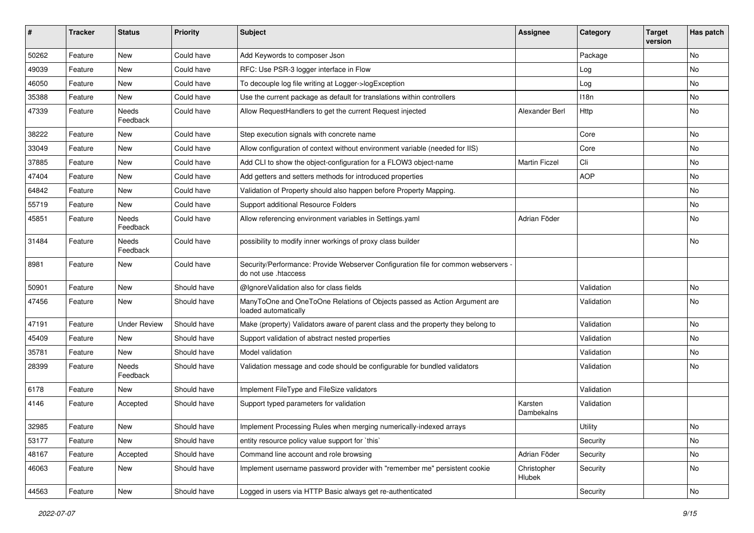| #     | <b>Tracker</b> | <b>Status</b>            | <b>Priority</b> | <b>Subject</b>                                                                                             | <b>Assignee</b>       | Category   | <b>Target</b><br>version | Has patch     |
|-------|----------------|--------------------------|-----------------|------------------------------------------------------------------------------------------------------------|-----------------------|------------|--------------------------|---------------|
| 50262 | Feature        | New                      | Could have      | Add Keywords to composer Json                                                                              |                       | Package    |                          | No            |
| 49039 | Feature        | New                      | Could have      | RFC: Use PSR-3 logger interface in Flow                                                                    |                       | Log        |                          | No            |
| 46050 | Feature        | New                      | Could have      | To decouple log file writing at Logger->logException                                                       |                       | Log        |                          | No            |
| 35388 | Feature        | New                      | Could have      | Use the current package as default for translations within controllers                                     |                       | 118n       |                          | No            |
| 47339 | Feature        | Needs<br>Feedback        | Could have      | Allow RequestHandlers to get the current Request injected                                                  | Alexander Berl        | Http       |                          | No            |
| 38222 | Feature        | New                      | Could have      | Step execution signals with concrete name                                                                  |                       | Core       |                          | No            |
| 33049 | Feature        | New                      | Could have      | Allow configuration of context without environment variable (needed for IIS)                               |                       | Core       |                          | No            |
| 37885 | Feature        | New                      | Could have      | Add CLI to show the object-configuration for a FLOW3 object-name                                           | <b>Martin Ficzel</b>  | Cli        |                          | No            |
| 47404 | Feature        | New                      | Could have      | Add getters and setters methods for introduced properties                                                  |                       | <b>AOP</b> |                          | No            |
| 64842 | Feature        | New                      | Could have      | Validation of Property should also happen before Property Mapping.                                         |                       |            |                          | <b>No</b>     |
| 55719 | Feature        | New                      | Could have      | Support additional Resource Folders                                                                        |                       |            |                          | No            |
| 45851 | Feature        | Needs<br>Feedback        | Could have      | Allow referencing environment variables in Settings.yaml                                                   | Adrian Föder          |            |                          | No            |
| 31484 | Feature        | Needs<br>Feedback        | Could have      | possibility to modify inner workings of proxy class builder                                                |                       |            |                          | <b>No</b>     |
| 8981  | Feature        | New                      | Could have      | Security/Performance: Provide Webserver Configuration file for common webservers -<br>do not use .htaccess |                       |            |                          |               |
| 50901 | Feature        | New                      | Should have     | @IgnoreValidation also for class fields                                                                    |                       | Validation |                          | No            |
| 47456 | Feature        | New                      | Should have     | ManyToOne and OneToOne Relations of Objects passed as Action Argument are<br>loaded automatically          |                       | Validation |                          | No            |
| 47191 | Feature        | <b>Under Review</b>      | Should have     | Make (property) Validators aware of parent class and the property they belong to                           |                       | Validation |                          | <b>No</b>     |
| 45409 | Feature        | New                      | Should have     | Support validation of abstract nested properties                                                           |                       | Validation |                          | No            |
| 35781 | Feature        | New                      | Should have     | Model validation                                                                                           |                       | Validation |                          | No            |
| 28399 | Feature        | <b>Needs</b><br>Feedback | Should have     | Validation message and code should be configurable for bundled validators                                  |                       | Validation |                          | No            |
| 6178  | Feature        | New                      | Should have     | Implement FileType and FileSize validators                                                                 |                       | Validation |                          |               |
| 4146  | Feature        | Accepted                 | Should have     | Support typed parameters for validation                                                                    | Karsten<br>Dambekalns | Validation |                          |               |
| 32985 | Feature        | New                      | Should have     | Implement Processing Rules when merging numerically-indexed arrays                                         |                       | Utility    |                          | $\mathsf{No}$ |
| 53177 | Feature        | New                      | Should have     | entity resource policy value support for `this`                                                            |                       | Security   |                          | No            |
| 48167 | Feature        | Accepted                 | Should have     | Command line account and role browsing                                                                     | Adrian Föder          | Security   |                          | No            |
| 46063 | Feature        | New                      | Should have     | Implement username password provider with "remember me" persistent cookie                                  | Christopher<br>Hlubek | Security   |                          | No            |
| 44563 | Feature        | New                      | Should have     | Logged in users via HTTP Basic always get re-authenticated                                                 |                       | Security   |                          | No            |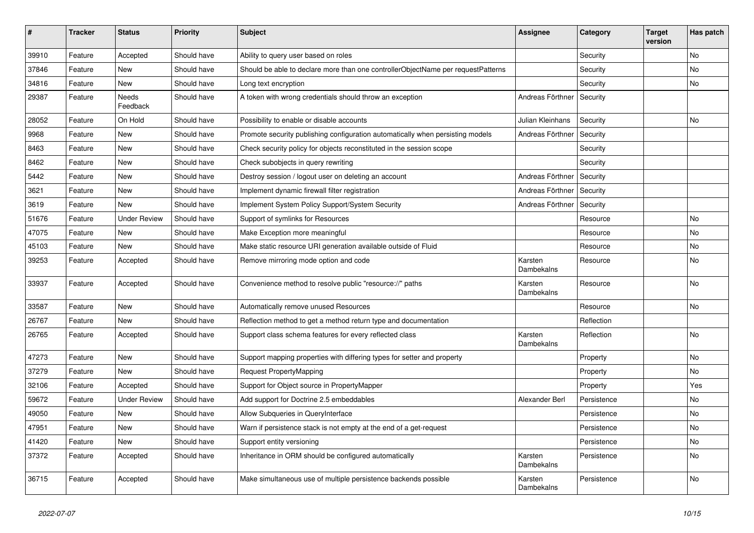| $\vert$ # | <b>Tracker</b> | <b>Status</b>            | <b>Priority</b> | <b>Subject</b>                                                                   | <b>Assignee</b>       | Category    | <b>Target</b><br>version | Has patch |
|-----------|----------------|--------------------------|-----------------|----------------------------------------------------------------------------------|-----------------------|-------------|--------------------------|-----------|
| 39910     | Feature        | Accepted                 | Should have     | Ability to query user based on roles                                             |                       | Security    |                          | <b>No</b> |
| 37846     | Feature        | New                      | Should have     | Should be able to declare more than one controllerObjectName per requestPatterns |                       | Security    |                          | No        |
| 34816     | Feature        | New                      | Should have     | Long text encryption                                                             |                       | Security    |                          | No        |
| 29387     | Feature        | <b>Needs</b><br>Feedback | Should have     | A token with wrong credentials should throw an exception                         | Andreas Förthner      | Security    |                          |           |
| 28052     | Feature        | On Hold                  | Should have     | Possibility to enable or disable accounts                                        | Julian Kleinhans      | Security    |                          | No        |
| 9968      | Feature        | <b>New</b>               | Should have     | Promote security publishing configuration automatically when persisting models   | Andreas Förthner      | Security    |                          |           |
| 8463      | Feature        | <b>New</b>               | Should have     | Check security policy for objects reconstituted in the session scope             |                       | Security    |                          |           |
| 8462      | Feature        | <b>New</b>               | Should have     | Check subobjects in query rewriting                                              |                       | Security    |                          |           |
| 5442      | Feature        | New                      | Should have     | Destroy session / logout user on deleting an account                             | Andreas Förthner      | Security    |                          |           |
| 3621      | Feature        | <b>New</b>               | Should have     | Implement dynamic firewall filter registration                                   | Andreas Förthner      | Security    |                          |           |
| 3619      | Feature        | <b>New</b>               | Should have     | Implement System Policy Support/System Security                                  | Andreas Förthner      | Security    |                          |           |
| 51676     | Feature        | <b>Under Review</b>      | Should have     | Support of symlinks for Resources                                                |                       | Resource    |                          | <b>No</b> |
| 47075     | Feature        | New                      | Should have     | Make Exception more meaningful                                                   |                       | Resource    |                          | No        |
| 45103     | Feature        | New                      | Should have     | Make static resource URI generation available outside of Fluid                   |                       | Resource    |                          | No        |
| 39253     | Feature        | Accepted                 | Should have     | Remove mirroring mode option and code                                            | Karsten<br>Dambekalns | Resource    |                          | <b>No</b> |
| 33937     | Feature        | Accepted                 | Should have     | Convenience method to resolve public "resource://" paths                         | Karsten<br>Dambekalns | Resource    |                          | <b>No</b> |
| 33587     | Feature        | <b>New</b>               | Should have     | Automatically remove unused Resources                                            |                       | Resource    |                          | No        |
| 26767     | Feature        | New                      | Should have     | Reflection method to get a method return type and documentation                  |                       | Reflection  |                          |           |
| 26765     | Feature        | Accepted                 | Should have     | Support class schema features for every reflected class                          | Karsten<br>Dambekalns | Reflection  |                          | No        |
| 47273     | Feature        | <b>New</b>               | Should have     | Support mapping properties with differing types for setter and property          |                       | Property    |                          | No        |
| 37279     | Feature        | New                      | Should have     | Request PropertyMapping                                                          |                       | Property    |                          | No        |
| 32106     | Feature        | Accepted                 | Should have     | Support for Object source in PropertyMapper                                      |                       | Property    |                          | Yes       |
| 59672     | Feature        | <b>Under Review</b>      | Should have     | Add support for Doctrine 2.5 embeddables                                         | Alexander Berl        | Persistence |                          | No        |
| 49050     | Feature        | <b>New</b>               | Should have     | Allow Subqueries in QueryInterface                                               |                       | Persistence |                          | No        |
| 47951     | Feature        | New                      | Should have     | Warn if persistence stack is not empty at the end of a get-request               |                       | Persistence |                          | No        |
| 41420     | Feature        | New                      | Should have     | Support entity versioning                                                        |                       | Persistence |                          | No        |
| 37372     | Feature        | Accepted                 | Should have     | Inheritance in ORM should be configured automatically                            | Karsten<br>Dambekalns | Persistence |                          | No        |
| 36715     | Feature        | Accepted                 | Should have     | Make simultaneous use of multiple persistence backends possible                  | Karsten<br>Dambekalns | Persistence |                          | <b>No</b> |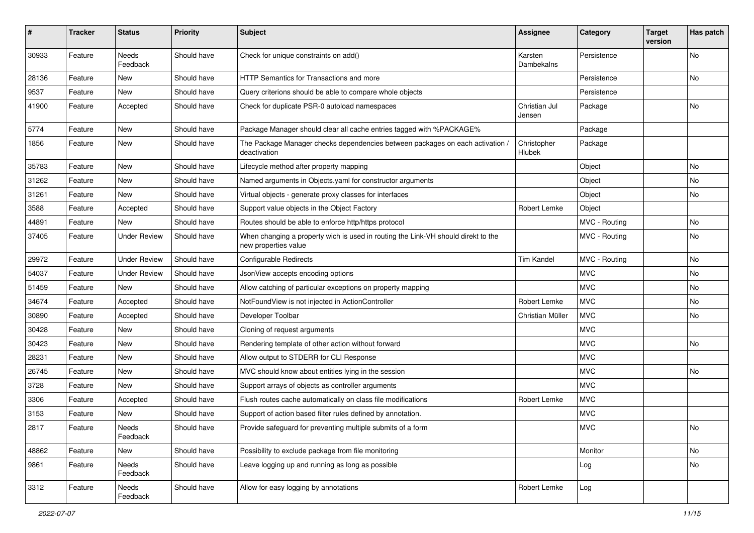| #     | <b>Tracker</b> | <b>Status</b>       | <b>Priority</b> | <b>Subject</b>                                                                                            | <b>Assignee</b>         | Category      | <b>Target</b><br>version | Has patch |
|-------|----------------|---------------------|-----------------|-----------------------------------------------------------------------------------------------------------|-------------------------|---------------|--------------------------|-----------|
| 30933 | Feature        | Needs<br>Feedback   | Should have     | Check for unique constraints on add()                                                                     | Karsten<br>Dambekalns   | Persistence   |                          | No        |
| 28136 | Feature        | <b>New</b>          | Should have     | HTTP Semantics for Transactions and more                                                                  |                         | Persistence   |                          | No        |
| 9537  | Feature        | <b>New</b>          | Should have     | Query criterions should be able to compare whole objects                                                  |                         | Persistence   |                          |           |
| 41900 | Feature        | Accepted            | Should have     | Check for duplicate PSR-0 autoload namespaces                                                             | Christian Jul<br>Jensen | Package       |                          | No        |
| 5774  | Feature        | New                 | Should have     | Package Manager should clear all cache entries tagged with %PACKAGE%                                      |                         | Package       |                          |           |
| 1856  | Feature        | New                 | Should have     | The Package Manager checks dependencies between packages on each activation /<br>deactivation             | Christopher<br>Hlubek   | Package       |                          |           |
| 35783 | Feature        | New                 | Should have     | Lifecycle method after property mapping                                                                   |                         | Object        |                          | No        |
| 31262 | Feature        | <b>New</b>          | Should have     | Named arguments in Objects.yaml for constructor arguments                                                 |                         | Object        |                          | No        |
| 31261 | Feature        | <b>New</b>          | Should have     | Virtual objects - generate proxy classes for interfaces                                                   |                         | Object        |                          | No        |
| 3588  | Feature        | Accepted            | Should have     | Support value objects in the Object Factory                                                               | Robert Lemke            | Object        |                          |           |
| 44891 | Feature        | <b>New</b>          | Should have     | Routes should be able to enforce http/https protocol                                                      |                         | MVC - Routing |                          | No        |
| 37405 | Feature        | <b>Under Review</b> | Should have     | When changing a property wich is used in routing the Link-VH should direkt to the<br>new properties value |                         | MVC - Routing |                          | No        |
| 29972 | Feature        | <b>Under Review</b> | Should have     | <b>Configurable Redirects</b>                                                                             | <b>Tim Kandel</b>       | MVC - Routing |                          | No        |
| 54037 | Feature        | <b>Under Review</b> | Should have     | JsonView accepts encoding options                                                                         |                         | <b>MVC</b>    |                          | No        |
| 51459 | Feature        | New                 | Should have     | Allow catching of particular exceptions on property mapping                                               |                         | <b>MVC</b>    |                          | No        |
| 34674 | Feature        | Accepted            | Should have     | NotFoundView is not injected in ActionController                                                          | Robert Lemke            | <b>MVC</b>    |                          | No        |
| 30890 | Feature        | Accepted            | Should have     | Developer Toolbar                                                                                         | Christian Müller        | <b>MVC</b>    |                          | No        |
| 30428 | Feature        | <b>New</b>          | Should have     | Cloning of request arguments                                                                              |                         | <b>MVC</b>    |                          |           |
| 30423 | Feature        | New                 | Should have     | Rendering template of other action without forward                                                        |                         | <b>MVC</b>    |                          | No        |
| 28231 | Feature        | <b>New</b>          | Should have     | Allow output to STDERR for CLI Response                                                                   |                         | <b>MVC</b>    |                          |           |
| 26745 | Feature        | <b>New</b>          | Should have     | MVC should know about entities lying in the session                                                       |                         | <b>MVC</b>    |                          | No        |
| 3728  | Feature        | New                 | Should have     | Support arrays of objects as controller arguments                                                         |                         | <b>MVC</b>    |                          |           |
| 3306  | Feature        | Accepted            | Should have     | Flush routes cache automatically on class file modifications                                              | Robert Lemke            | <b>MVC</b>    |                          |           |
| 3153  | Feature        | New                 | Should have     | Support of action based filter rules defined by annotation.                                               |                         | <b>MVC</b>    |                          |           |
| 2817  | Feature        | Needs<br>Feedback   | Should have     | Provide safeguard for preventing multiple submits of a form                                               |                         | <b>MVC</b>    |                          | No        |
| 48862 | Feature        | New                 | Should have     | Possibility to exclude package from file monitoring                                                       |                         | Monitor       |                          | No        |
| 9861  | Feature        | Needs<br>Feedback   | Should have     | Leave logging up and running as long as possible                                                          |                         | Log           |                          | No        |
| 3312  | Feature        | Needs<br>Feedback   | Should have     | Allow for easy logging by annotations                                                                     | Robert Lemke            | Log           |                          |           |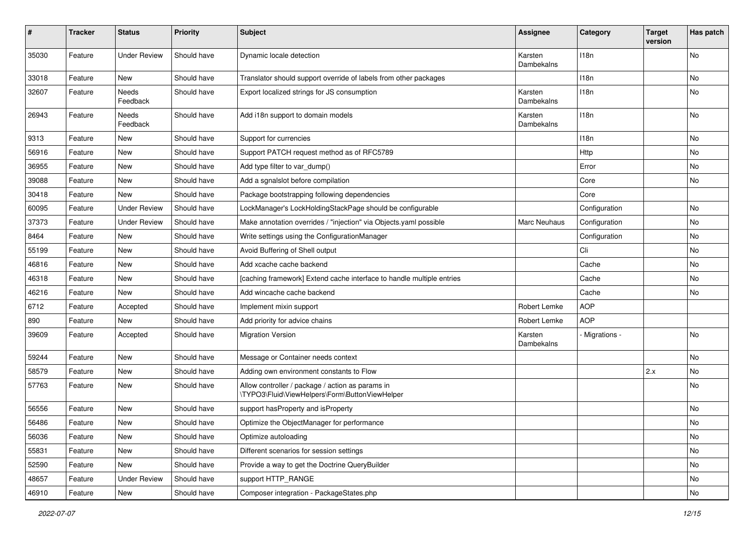| #     | <b>Tracker</b> | <b>Status</b>       | <b>Priority</b> | <b>Subject</b>                                                                                     | <b>Assignee</b>       | Category      | <b>Target</b><br>version | Has patch |
|-------|----------------|---------------------|-----------------|----------------------------------------------------------------------------------------------------|-----------------------|---------------|--------------------------|-----------|
| 35030 | Feature        | <b>Under Review</b> | Should have     | Dynamic locale detection                                                                           | Karsten<br>Dambekalns | 118n          |                          | No        |
| 33018 | Feature        | New                 | Should have     | Translator should support override of labels from other packages                                   |                       | 118n          |                          | No        |
| 32607 | Feature        | Needs<br>Feedback   | Should have     | Export localized strings for JS consumption                                                        | Karsten<br>Dambekalns | 118n          |                          | No        |
| 26943 | Feature        | Needs<br>Feedback   | Should have     | Add i18n support to domain models                                                                  | Karsten<br>Dambekalns | 118n          |                          | No        |
| 9313  | Feature        | New                 | Should have     | Support for currencies                                                                             |                       | 118n          |                          | No        |
| 56916 | Feature        | New                 | Should have     | Support PATCH request method as of RFC5789                                                         |                       | Http          |                          | No        |
| 36955 | Feature        | New                 | Should have     | Add type filter to var_dump()                                                                      |                       | Error         |                          | No        |
| 39088 | Feature        | New                 | Should have     | Add a sgnalslot before compilation                                                                 |                       | Core          |                          | No        |
| 30418 | Feature        | <b>New</b>          | Should have     | Package bootstrapping following dependencies                                                       |                       | Core          |                          |           |
| 60095 | Feature        | <b>Under Review</b> | Should have     | LockManager's LockHoldingStackPage should be configurable                                          |                       | Configuration |                          | No        |
| 37373 | Feature        | <b>Under Review</b> | Should have     | Make annotation overrides / "injection" via Objects.yaml possible                                  | Marc Neuhaus          | Configuration |                          | No        |
| 8464  | Feature        | New                 | Should have     | Write settings using the ConfigurationManager                                                      |                       | Configuration |                          | No        |
| 55199 | Feature        | New                 | Should have     | Avoid Buffering of Shell output                                                                    |                       | Cli           |                          | No        |
| 46816 | Feature        | New                 | Should have     | Add xcache cache backend                                                                           |                       | Cache         |                          | No        |
| 46318 | Feature        | <b>New</b>          | Should have     | [caching framework] Extend cache interface to handle multiple entries                              |                       | Cache         |                          | No        |
| 46216 | Feature        | New                 | Should have     | Add wincache cache backend                                                                         |                       | Cache         |                          | No        |
| 6712  | Feature        | Accepted            | Should have     | Implement mixin support                                                                            | Robert Lemke          | <b>AOP</b>    |                          |           |
| 890   | Feature        | New                 | Should have     | Add priority for advice chains                                                                     | Robert Lemke          | <b>AOP</b>    |                          |           |
| 39609 | Feature        | Accepted            | Should have     | <b>Migration Version</b>                                                                           | Karsten<br>Dambekalns | Migrations -  |                          | No        |
| 59244 | Feature        | New                 | Should have     | Message or Container needs context                                                                 |                       |               |                          | No        |
| 58579 | Feature        | New                 | Should have     | Adding own environment constants to Flow                                                           |                       |               | 2.x                      | No        |
| 57763 | Feature        | New                 | Should have     | Allow controller / package / action as params in<br>\TYPO3\Fluid\ViewHelpers\Form\ButtonViewHelper |                       |               |                          | No        |
| 56556 | Feature        | New                 | Should have     | support hasProperty and isProperty                                                                 |                       |               |                          | No        |
| 56486 | Feature        | New                 | Should have     | Optimize the ObjectManager for performance                                                         |                       |               |                          | No        |
| 56036 | Feature        | New                 | Should have     | Optimize autoloading                                                                               |                       |               |                          | No        |
| 55831 | Feature        | New                 | Should have     | Different scenarios for session settings                                                           |                       |               |                          | No        |
| 52590 | Feature        | New                 | Should have     | Provide a way to get the Doctrine QueryBuilder                                                     |                       |               |                          | No        |
| 48657 | Feature        | <b>Under Review</b> | Should have     | support HTTP_RANGE                                                                                 |                       |               |                          | No        |
| 46910 | Feature        | New                 | Should have     | Composer integration - PackageStates.php                                                           |                       |               |                          | No        |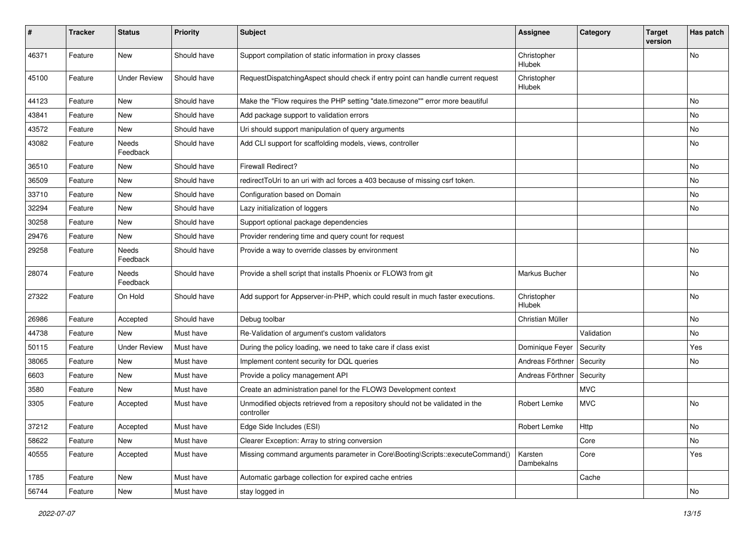| ∦     | <b>Tracker</b> | <b>Status</b>       | <b>Priority</b> | Subject                                                                                     | <b>Assignee</b>       | Category   | <b>Target</b><br>version | Has patch |
|-------|----------------|---------------------|-----------------|---------------------------------------------------------------------------------------------|-----------------------|------------|--------------------------|-----------|
| 46371 | Feature        | New                 | Should have     | Support compilation of static information in proxy classes                                  | Christopher<br>Hlubek |            |                          | No        |
| 45100 | Feature        | <b>Under Review</b> | Should have     | RequestDispatchingAspect should check if entry point can handle current request             | Christopher<br>Hlubek |            |                          |           |
| 44123 | Feature        | New                 | Should have     | Make the "Flow requires the PHP setting "date.timezone"" error more beautiful               |                       |            |                          | No        |
| 43841 | Feature        | New                 | Should have     | Add package support to validation errors                                                    |                       |            |                          | <b>No</b> |
| 43572 | Feature        | New                 | Should have     | Uri should support manipulation of query arguments                                          |                       |            |                          | No        |
| 43082 | Feature        | Needs<br>Feedback   | Should have     | Add CLI support for scaffolding models, views, controller                                   |                       |            |                          | No        |
| 36510 | Feature        | New                 | Should have     | <b>Firewall Redirect?</b>                                                                   |                       |            |                          | No        |
| 36509 | Feature        | New                 | Should have     | redirect ToUri to an uri with acl forces a 403 because of missing csrf token.               |                       |            |                          | No        |
| 33710 | Feature        | New                 | Should have     | Configuration based on Domain                                                               |                       |            |                          | No        |
| 32294 | Feature        | New                 | Should have     | Lazy initialization of loggers                                                              |                       |            |                          | No        |
| 30258 | Feature        | New                 | Should have     | Support optional package dependencies                                                       |                       |            |                          |           |
| 29476 | Feature        | New                 | Should have     | Provider rendering time and query count for request                                         |                       |            |                          |           |
| 29258 | Feature        | Needs<br>Feedback   | Should have     | Provide a way to override classes by environment                                            |                       |            |                          | <b>No</b> |
| 28074 | Feature        | Needs<br>Feedback   | Should have     | Provide a shell script that installs Phoenix or FLOW3 from git                              | Markus Bucher         |            |                          | <b>No</b> |
| 27322 | Feature        | On Hold             | Should have     | Add support for Appserver-in-PHP, which could result in much faster executions.             | Christopher<br>Hlubek |            |                          | <b>No</b> |
| 26986 | Feature        | Accepted            | Should have     | Debug toolbar                                                                               | Christian Müller      |            |                          | No        |
| 44738 | Feature        | New                 | Must have       | Re-Validation of argument's custom validators                                               |                       | Validation |                          | No        |
| 50115 | Feature        | <b>Under Review</b> | Must have       | During the policy loading, we need to take care if class exist                              | Dominique Feyer       | Security   |                          | Yes       |
| 38065 | Feature        | New                 | Must have       | Implement content security for DQL queries                                                  | Andreas Förthner      | Security   |                          | No        |
| 6603  | Feature        | New                 | Must have       | Provide a policy management API                                                             | Andreas Förthner      | Security   |                          |           |
| 3580  | Feature        | New                 | Must have       | Create an administration panel for the FLOW3 Development context                            |                       | <b>MVC</b> |                          |           |
| 3305  | Feature        | Accepted            | Must have       | Unmodified objects retrieved from a repository should not be validated in the<br>controller | Robert Lemke          | <b>MVC</b> |                          | <b>No</b> |
| 37212 | Feature        | Accepted            | Must have       | Edge Side Includes (ESI)                                                                    | Robert Lemke          | Http       |                          | No        |
| 58622 | Feature        | New                 | Must have       | Clearer Exception: Array to string conversion                                               |                       | Core       |                          | No        |
| 40555 | Feature        | Accepted            | Must have       | Missing command arguments parameter in Core\Booting\Scripts::executeCommand()               | Karsten<br>Dambekalns | Core       |                          | Yes       |
| 1785  | Feature        | New                 | Must have       | Automatic garbage collection for expired cache entries                                      |                       | Cache      |                          |           |
| 56744 | Feature        | New                 | Must have       | stay logged in                                                                              |                       |            |                          | No        |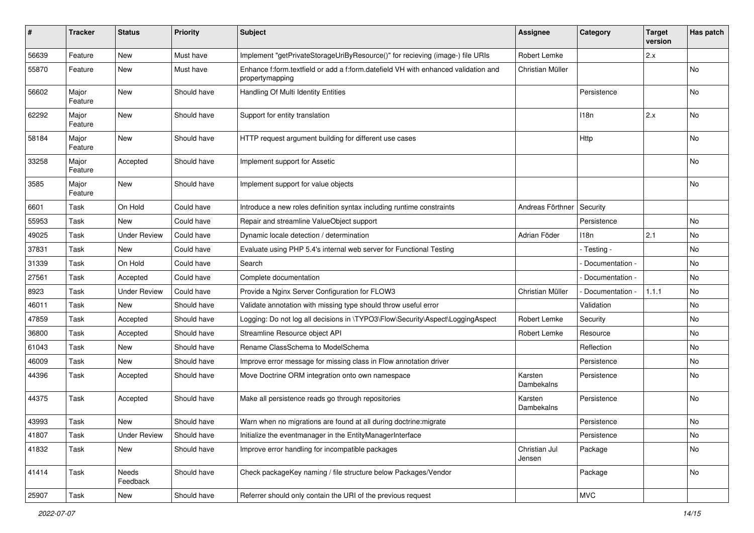| ∦     | <b>Tracker</b>   | <b>Status</b>       | <b>Priority</b> | Subject                                                                                               | Assignee                | Category        | <b>Target</b><br>version | Has patch |
|-------|------------------|---------------------|-----------------|-------------------------------------------------------------------------------------------------------|-------------------------|-----------------|--------------------------|-----------|
| 56639 | Feature          | <b>New</b>          | Must have       | Implement "getPrivateStorageUriByResource()" for recieving (image-) file URIs                         | Robert Lemke            |                 | 2.x                      |           |
| 55870 | Feature          | New                 | Must have       | Enhance f:form.textfield or add a f:form.datefield VH with enhanced validation and<br>propertymapping | Christian Müller        |                 |                          | No        |
| 56602 | Major<br>Feature | <b>New</b>          | Should have     | Handling Of Multi Identity Entities                                                                   |                         | Persistence     |                          | No        |
| 62292 | Major<br>Feature | <b>New</b>          | Should have     | Support for entity translation                                                                        |                         | 118n            | 2.x                      | No        |
| 58184 | Major<br>Feature | <b>New</b>          | Should have     | HTTP request argument building for different use cases                                                |                         | Http            |                          | No        |
| 33258 | Major<br>Feature | Accepted            | Should have     | Implement support for Assetic                                                                         |                         |                 |                          | No        |
| 3585  | Major<br>Feature | <b>New</b>          | Should have     | Implement support for value objects                                                                   |                         |                 |                          | No        |
| 6601  | Task             | On Hold             | Could have      | Introduce a new roles definition syntax including runtime constraints                                 | Andreas Förthner        | Security        |                          |           |
| 55953 | Task             | <b>New</b>          | Could have      | Repair and streamline ValueObject support                                                             |                         | Persistence     |                          | No        |
| 49025 | Task             | <b>Under Review</b> | Could have      | Dynamic locale detection / determination                                                              | Adrian Föder            | 118n            | 2.1                      | No.       |
| 37831 | Task             | <b>New</b>          | Could have      | Evaluate using PHP 5.4's internal web server for Functional Testing                                   |                         | - Testing -     |                          | No        |
| 31339 | Task             | On Hold             | Could have      | Search                                                                                                |                         | Documentation - |                          | No        |
| 27561 | Task             | Accepted            | Could have      | Complete documentation                                                                                |                         | Documentation - |                          | No        |
| 8923  | Task             | <b>Under Review</b> | Could have      | Provide a Nginx Server Configuration for FLOW3                                                        | Christian Müller        | Documentation - | 1.1.1                    | No        |
| 46011 | Task             | New                 | Should have     | Validate annotation with missing type should throw useful error                                       |                         | Validation      |                          | No        |
| 47859 | Task             | Accepted            | Should have     | Logging: Do not log all decisions in \TYPO3\Flow\Security\Aspect\LoggingAspect                        | Robert Lemke            | Security        |                          | No        |
| 36800 | Task             | Accepted            | Should have     | Streamline Resource object API                                                                        | Robert Lemke            | Resource        |                          | No        |
| 61043 | Task             | New                 | Should have     | Rename ClassSchema to ModelSchema                                                                     |                         | Reflection      |                          | No        |
| 46009 | Task             | <b>New</b>          | Should have     | Improve error message for missing class in Flow annotation driver                                     |                         | Persistence     |                          | No        |
| 44396 | Task             | Accepted            | Should have     | Move Doctrine ORM integration onto own namespace                                                      | Karsten<br>Dambekalns   | Persistence     |                          | No        |
| 44375 | Task             | Accepted            | Should have     | Make all persistence reads go through repositories                                                    | Karsten<br>Dambekalns   | Persistence     |                          | No        |
| 43993 | Task             | <b>New</b>          | Should have     | Warn when no migrations are found at all during doctrine: migrate                                     |                         | Persistence     |                          | No        |
| 41807 | Task             | <b>Under Review</b> | Should have     | Initialize the eventmanager in the EntityManagerInterface                                             |                         | Persistence     |                          | No        |
| 41832 | Task             | New                 | Should have     | Improve error handling for incompatible packages                                                      | Christian Jul<br>Jensen | Package         |                          | No        |
| 41414 | Task             | Needs<br>Feedback   | Should have     | Check packageKey naming / file structure below Packages/Vendor                                        |                         | Package         |                          | No        |
| 25907 | Task             | New                 | Should have     | Referrer should only contain the URI of the previous request                                          |                         | <b>MVC</b>      |                          |           |